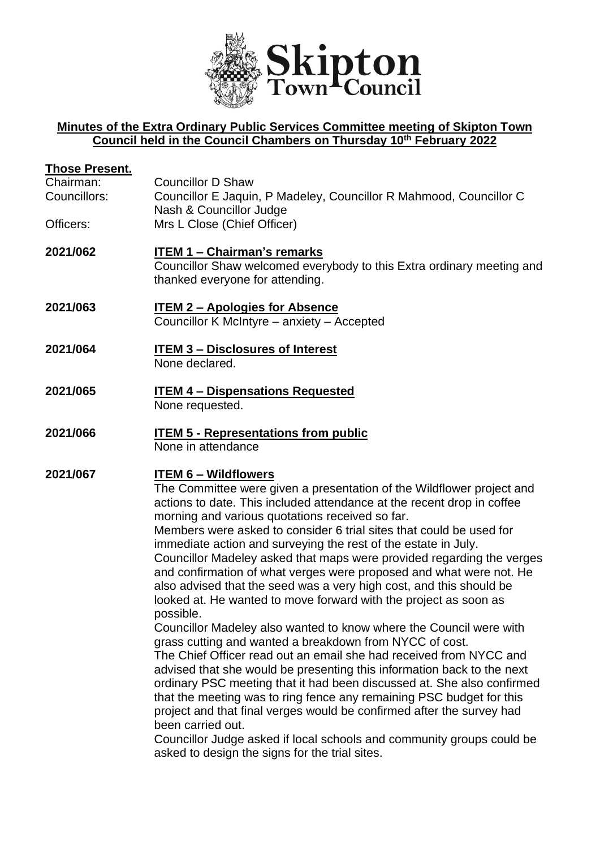

## **Minutes of the Extra Ordinary Public Services Committee meeting of Skipton Town Council held in the Council Chambers on Thursday 10th February 2022**

| <u>Those Present.</u><br>Chairman:<br>Councillors:<br>Officers: | <b>Councillor D Shaw</b><br>Councillor E Jaquin, P Madeley, Councillor R Mahmood, Councillor C<br>Nash & Councillor Judge<br>Mrs L Close (Chief Officer)                                                                                                                                                                                                                                                                                                                                                                                                                                                                                                                                                                                                                                                                                                                                                                                                                                                                                                                                                                                                                                                                                                                                                                                       |
|-----------------------------------------------------------------|------------------------------------------------------------------------------------------------------------------------------------------------------------------------------------------------------------------------------------------------------------------------------------------------------------------------------------------------------------------------------------------------------------------------------------------------------------------------------------------------------------------------------------------------------------------------------------------------------------------------------------------------------------------------------------------------------------------------------------------------------------------------------------------------------------------------------------------------------------------------------------------------------------------------------------------------------------------------------------------------------------------------------------------------------------------------------------------------------------------------------------------------------------------------------------------------------------------------------------------------------------------------------------------------------------------------------------------------|
| 2021/062                                                        | <b>ITEM 1 - Chairman's remarks</b><br>Councillor Shaw welcomed everybody to this Extra ordinary meeting and<br>thanked everyone for attending.                                                                                                                                                                                                                                                                                                                                                                                                                                                                                                                                                                                                                                                                                                                                                                                                                                                                                                                                                                                                                                                                                                                                                                                                 |
| 2021/063                                                        | <b>ITEM 2 - Apologies for Absence</b><br>Councillor K McIntyre - anxiety - Accepted                                                                                                                                                                                                                                                                                                                                                                                                                                                                                                                                                                                                                                                                                                                                                                                                                                                                                                                                                                                                                                                                                                                                                                                                                                                            |
| 2021/064                                                        | <b>ITEM 3 - Disclosures of Interest</b><br>None declared.                                                                                                                                                                                                                                                                                                                                                                                                                                                                                                                                                                                                                                                                                                                                                                                                                                                                                                                                                                                                                                                                                                                                                                                                                                                                                      |
| 2021/065                                                        | <b>ITEM 4 - Dispensations Requested</b><br>None requested.                                                                                                                                                                                                                                                                                                                                                                                                                                                                                                                                                                                                                                                                                                                                                                                                                                                                                                                                                                                                                                                                                                                                                                                                                                                                                     |
| 2021/066                                                        | <b>ITEM 5 - Representations from public</b><br>None in attendance                                                                                                                                                                                                                                                                                                                                                                                                                                                                                                                                                                                                                                                                                                                                                                                                                                                                                                                                                                                                                                                                                                                                                                                                                                                                              |
| 2021/067                                                        | <b>ITEM 6 - Wildflowers</b><br>The Committee were given a presentation of the Wildflower project and<br>actions to date. This included attendance at the recent drop in coffee<br>morning and various quotations received so far.<br>Members were asked to consider 6 trial sites that could be used for<br>immediate action and surveying the rest of the estate in July.<br>Councillor Madeley asked that maps were provided regarding the verges<br>and confirmation of what verges were proposed and what were not. He<br>also advised that the seed was a very high cost, and this should be<br>looked at. He wanted to move forward with the project as soon as<br>possible.<br>Councillor Madeley also wanted to know where the Council were with<br>grass cutting and wanted a breakdown from NYCC of cost.<br>The Chief Officer read out an email she had received from NYCC and<br>advised that she would be presenting this information back to the next<br>ordinary PSC meeting that it had been discussed at. She also confirmed<br>that the meeting was to ring fence any remaining PSC budget for this<br>project and that final verges would be confirmed after the survey had<br>been carried out.<br>Councillor Judge asked if local schools and community groups could be<br>asked to design the signs for the trial sites. |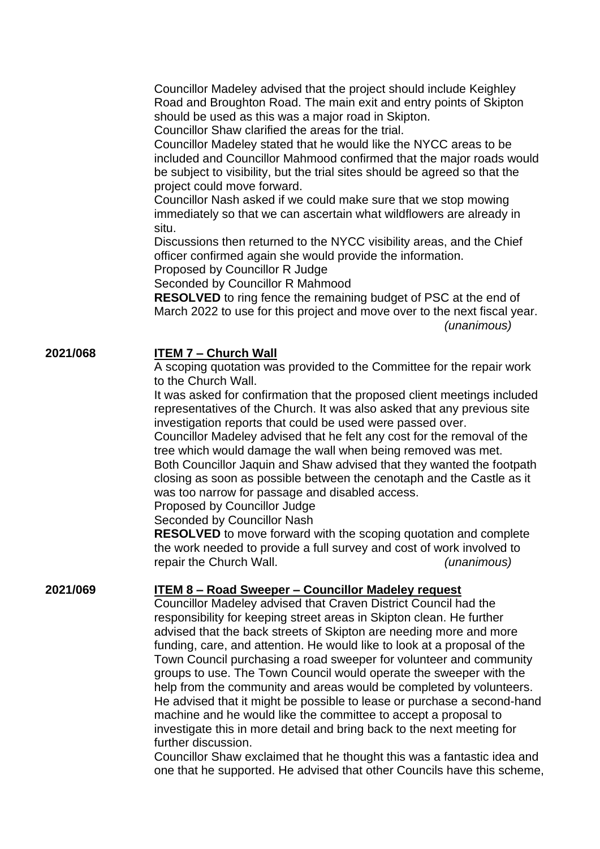Councillor Madeley advised that the project should include Keighley Road and Broughton Road. The main exit and entry points of Skipton should be used as this was a major road in Skipton.

Councillor Shaw clarified the areas for the trial.

Councillor Madeley stated that he would like the NYCC areas to be included and Councillor Mahmood confirmed that the major roads would be subject to visibility, but the trial sites should be agreed so that the project could move forward.

Councillor Nash asked if we could make sure that we stop mowing immediately so that we can ascertain what wildflowers are already in situ.

Discussions then returned to the NYCC visibility areas, and the Chief officer confirmed again she would provide the information.

Proposed by Councillor R Judge

Seconded by Councillor R Mahmood

**RESOLVED** to ring fence the remaining budget of PSC at the end of March 2022 to use for this project and move over to the next fiscal year. *(unanimous)*

## **2021/068 ITEM 7 – Church Wall**

A scoping quotation was provided to the Committee for the repair work to the Church Wall.

It was asked for confirmation that the proposed client meetings included representatives of the Church. It was also asked that any previous site investigation reports that could be used were passed over.

Councillor Madeley advised that he felt any cost for the removal of the tree which would damage the wall when being removed was met. Both Councillor Jaquin and Shaw advised that they wanted the footpath closing as soon as possible between the cenotaph and the Castle as it was too narrow for passage and disabled access.

Proposed by Councillor Judge

Seconded by Councillor Nash

**RESOLVED** to move forward with the scoping quotation and complete the work needed to provide a full survey and cost of work involved to repair the Church Wall. *(unanimous)*

## **2021/069 ITEM 8 – Road Sweeper – Councillor Madeley request**

Councillor Madeley advised that Craven District Council had the responsibility for keeping street areas in Skipton clean. He further advised that the back streets of Skipton are needing more and more funding, care, and attention. He would like to look at a proposal of the Town Council purchasing a road sweeper for volunteer and community groups to use. The Town Council would operate the sweeper with the help from the community and areas would be completed by volunteers. He advised that it might be possible to lease or purchase a second-hand machine and he would like the committee to accept a proposal to investigate this in more detail and bring back to the next meeting for further discussion.

Councillor Shaw exclaimed that he thought this was a fantastic idea and one that he supported. He advised that other Councils have this scheme,